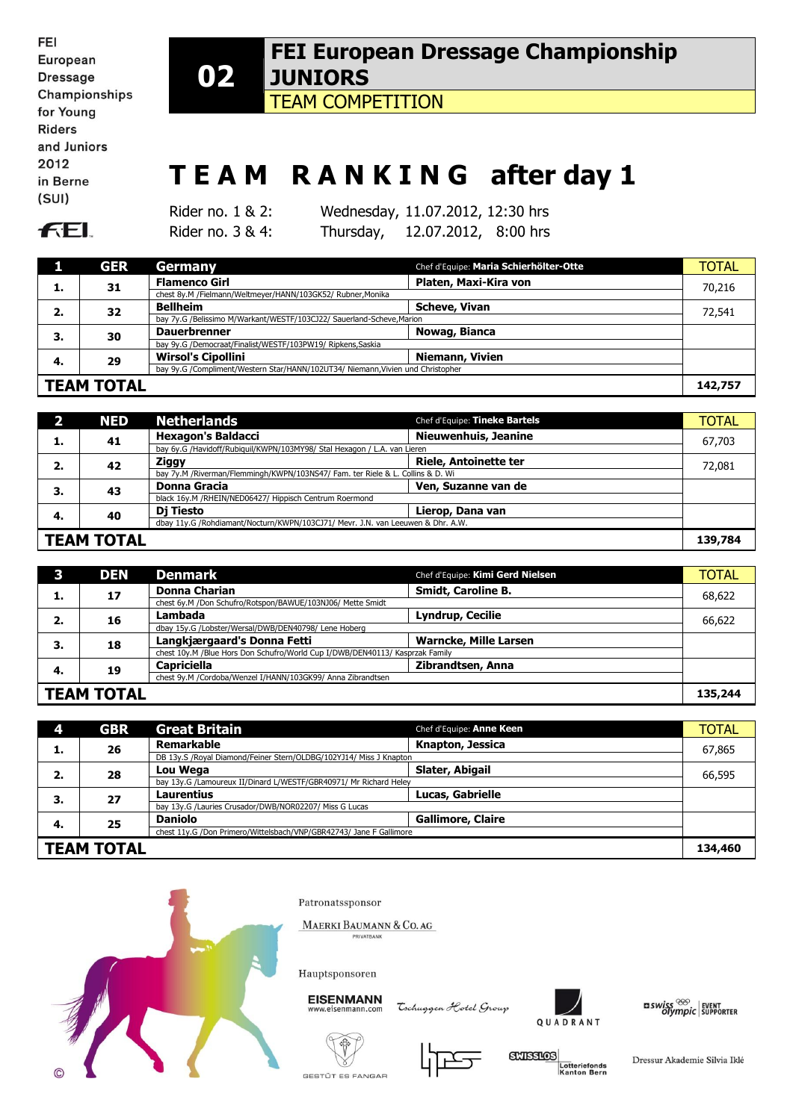| FEI           |
|---------------|
| European      |
| Dressage      |
| Championships |
| for Young     |
| Riders        |
| and Juniors   |
| 2012          |
| in Berne      |
| (SUI)         |
|               |

## **02 FEI European Dressage Championship JUNIORS**

TEAM COMPETITION

## **T E A M R A N K I N G after day 1**

**FEL** 

Rider no. 1 & 2: Wednesday, 11.07.2012, 12:30 hrs Rider no. 3 & 4: Thursday, 12.07.2012, 8:00 hrs

|                   | <b>GER</b>                                                                      | Germany                                                               | Chef d'Equipe: Maria Schierhölter-Otte | <b>TOTAL</b> |
|-------------------|---------------------------------------------------------------------------------|-----------------------------------------------------------------------|----------------------------------------|--------------|
| л.                | 31                                                                              | <b>Flamenco Girl</b>                                                  | Platen, Maxi-Kira von                  | 70,216       |
|                   |                                                                                 | chest 8y.M /Fielmann/Weltmeyer/HANN/103GK52/ Rubner, Monika           |                                        |              |
| 2.                | 32                                                                              | <b>Bellheim</b>                                                       | <b>Scheve, Vivan</b>                   | 72,541       |
|                   |                                                                                 | bay 7y.G /Belissimo M/Warkant/WESTF/103CJ22/ Sauerland-Scheve, Marion |                                        |              |
| З.                | 30                                                                              | <b>Dauerbrenner</b>                                                   | Nowag, Bianca                          |              |
|                   |                                                                                 | bay 9y.G /Democraat/Finalist/WESTF/103PW19/ Ripkens,Saskia            |                                        |              |
| -4.               | 29                                                                              | <b>Wirsol's Cipollini</b>                                             | <b>Niemann, Vivien</b>                 |              |
|                   | bay 9y.G /Compliment/Western Star/HANN/102UT34/ Niemann, Vivien und Christopher |                                                                       |                                        |              |
| <b>TEAM TOTAL</b> |                                                                                 |                                                                       | 142,757                                |              |

|                                                                                 | <b>NED</b> | <b>Netherlands</b>                                                             | Chef d'Equipe: Tineke Bartels | <b>TOTAL</b> |
|---------------------------------------------------------------------------------|------------|--------------------------------------------------------------------------------|-------------------------------|--------------|
| ı.                                                                              | 41         | <b>Hexagon's Baldacci</b>                                                      | <b>Nieuwenhuis, Jeanine</b>   | 67,703       |
|                                                                                 |            | bay 6y.G /Havidoff/Rubiquil/KWPN/103MY98/ Stal Hexagon / L.A. van Lieren       |                               |              |
| 2.                                                                              | 42         | Ziggy                                                                          | <b>Riele, Antoinette ter</b>  | 72,081       |
|                                                                                 |            | bay 7y.M /Riverman/Flemmingh/KWPN/103NS47/ Fam. ter Riele & L. Collins & D. Wi |                               |              |
| 3.                                                                              | 43         | <b>Donna Gracia</b>                                                            | Ven, Suzanne van de           |              |
|                                                                                 |            | black 16y.M /RHEIN/NED06427/ Hippisch Centrum Roermond                         |                               |              |
| 4.                                                                              | 40         | Di Tiesto                                                                      | Lierop, Dana van              |              |
| dbay 11y.G /Rohdiamant/Nocturn/KWPN/103CJ71/ Mevr. J.N. van Leeuwen & Dhr. A.W. |            |                                                                                |                               |              |
| <b>TEAM TOTAL</b>                                                               |            |                                                                                | 139,784                       |              |

|    | <b>DEN</b>                                           | <b>Denmark</b>                                                               | Chef d'Equipe: Kimi Gerd Nielsen | <b>TOTAL</b> |
|----|------------------------------------------------------|------------------------------------------------------------------------------|----------------------------------|--------------|
|    | 17                                                   | <b>Donna Charian</b>                                                         | Smidt, Caroline B.               | 68,622       |
|    |                                                      | chest 6y.M /Don Schufro/Rotspon/BAWUE/103NJ06/ Mette Smidt                   |                                  |              |
| 2. | 16                                                   | Lambada                                                                      | <b>Lyndrup, Cecilie</b>          | 66,622       |
|    | dbay 15y.G /Lobster/Wersal/DWB/DEN40798/ Lene Hoberg |                                                                              |                                  |              |
| 3. | 18                                                   | Langkjærgaard's Donna Fetti                                                  | <b>Warncke, Mille Larsen</b>     |              |
|    |                                                      | chest 10y.M /Blue Hors Don Schufro/World Cup I/DWB/DEN40113/ Kasprzak Family |                                  |              |
| 4. | 19                                                   | <b>Capriciella</b>                                                           | Zibrandtsen, Anna                |              |
|    |                                                      | chest 9y.M /Cordoba/Wenzel I/HANN/103GK99/ Anna Zibrandtsen                  |                                  |              |
|    | <b>TEAM TOTAL</b>                                    |                                                                              |                                  | 135,244      |

| 4                 | <b>GBR</b> | <b>Great Britain</b>                                                | Chef d'Equipe: Anne Keen | <b>TOTAL</b> |
|-------------------|------------|---------------------------------------------------------------------|--------------------------|--------------|
|                   | 26         | Remarkable                                                          | Knapton, Jessica         | 67,865       |
|                   |            | DB 13y.S /Royal Diamond/Feiner Stern/OLDBG/102YJ14/ Miss J Knapton  |                          |              |
| 2.                | 28         | Lou Wega                                                            | Slater, Abigail          | 66,595       |
|                   |            | bay 13y.G /Lamoureux II/Dinard L/WESTF/GBR40971/ Mr Richard Heley   |                          |              |
| 3.                | 27         | Laurentius                                                          | <b>Lucas, Gabrielle</b>  |              |
|                   |            | bay 13y.G /Lauries Crusador/DWB/NOR02207/ Miss G Lucas              |                          |              |
| 4.                | 25         | <b>Daniolo</b>                                                      | <b>Gallimore, Claire</b> |              |
|                   |            | chest 11y.G /Don Primero/Wittelsbach/VNP/GBR42743/ Jane F Gallimore |                          |              |
| <b>TEAM TOTAL</b> |            |                                                                     | 134,460                  |              |



Patronatssponsor

MAERKI BAUMANN & CO. AG VATBANK

Hauptsponsoren

**EISENMANN** w.eisenmann.com

Tochuggen Hotel Group



 $\begin{array}{l|l} \texttt{uswiss} \stackrel{\otimes\!\otimes}{\texttt{new}} & \texttt{Event} \\ \texttt{olympic} & \texttt{Supporter} \\ \end{array}$ 





**SCHEERING** Lotteriefonds<br>Kanton Bern

Dressur Akademie Silvia Iklé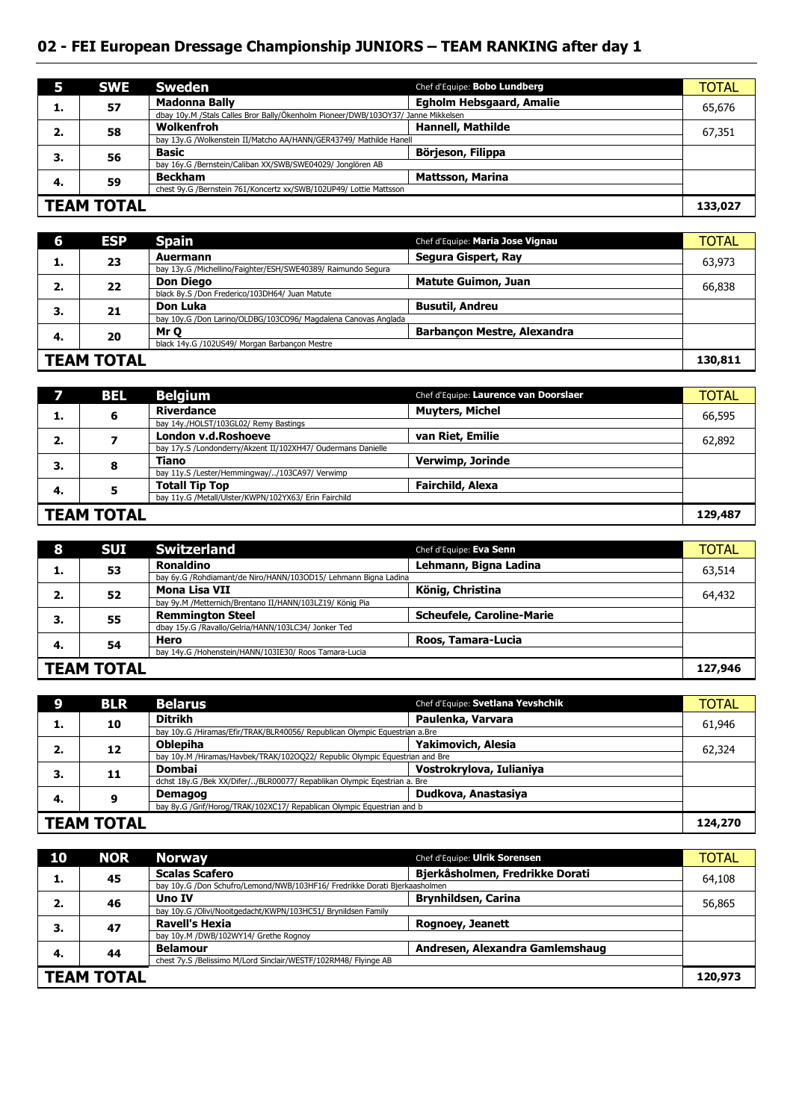## **02 - FEI European Dressage Championship JUNIORS – TEAM RANKING after day 1**

|                                                                    | <b>SWE</b>                                                         | <b>Sweden</b>                                                                     | Chef d'Equipe: Bobo Lundberg    | <b>TOTAL</b> |
|--------------------------------------------------------------------|--------------------------------------------------------------------|-----------------------------------------------------------------------------------|---------------------------------|--------------|
|                                                                    | 57                                                                 | <b>Madonna Bally</b>                                                              | <b>Egholm Hebsgaard, Amalie</b> | 65,676       |
|                                                                    |                                                                    | dbay 10y.M /Stals Calles Bror Bally/Ökenholm Pioneer/DWB/103OY37/ Janne Mikkelsen |                                 |              |
| 2.                                                                 | 58                                                                 | Wolkenfroh                                                                        | <b>Hannell, Mathilde</b>        | 67,351       |
|                                                                    | bay 13y.G /Wolkenstein II/Matcho AA/HANN/GER43749/ Mathilde Hanell |                                                                                   |                                 |              |
| 3.                                                                 | 56                                                                 | <b>Basic</b>                                                                      | Börjeson, Filippa               |              |
|                                                                    |                                                                    | bay 16y.G /Bernstein/Caliban XX/SWB/SWE04029/ Jonglören AB                        |                                 |              |
| -4.                                                                | 59                                                                 | <b>Beckham</b>                                                                    | <b>Mattsson, Marina</b>         |              |
| chest 9y.G /Bernstein 761/Koncertz xx/SWB/102UP49/ Lottie Mattsson |                                                                    |                                                                                   |                                 |              |
| <b>TEAM TOTAL</b>                                                  |                                                                    |                                                                                   | 133,027                         |              |

| 6                                             | <b>ESP</b> | <b>Spain</b>                                                   | Chef d'Equipe: Maria Jose Vignau   | <b>TOTAL</b> |
|-----------------------------------------------|------------|----------------------------------------------------------------|------------------------------------|--------------|
|                                               | 23         | Auermann                                                       | Segura Gispert, Ray                | 63,973       |
| д.,                                           |            | bay 13y.G /Michellino/Faighter/ESH/SWE40389/ Raimundo Segura   |                                    |              |
| 2.                                            | 22         | <b>Don Diego</b>                                               | <b>Matute Guimon, Juan</b>         | 66,838       |
|                                               |            | black 8y.S /Don Frederico/103DH64/ Juan Matute                 |                                    |              |
| 3.                                            | 21         | Don Luka                                                       | <b>Busutil, Andreu</b>             |              |
|                                               |            | bay 10y.G /Don Larino/OLDBG/103CO96/ Magdalena Canovas Anglada |                                    |              |
| 4.                                            | 20         | Mr Q                                                           | <b>Barbancon Mestre, Alexandra</b> |              |
| black 14y.G /102US49/ Morgan Barbancon Mestre |            |                                                                |                                    |              |
| <b>TEAM TOTAL</b>                             |            |                                                                | 130,811                            |              |

|    | BEL               | <b>Belgium</b>                                               | Chef d'Equipe: Laurence van Doorslaer | <b>TOTAL</b> |
|----|-------------------|--------------------------------------------------------------|---------------------------------------|--------------|
|    | 6                 | Riverdance                                                   | <b>Muyters, Michel</b>                | 66,595       |
| л. |                   | bay 14y./HOLST/103GL02/ Remy Bastings                        |                                       |              |
| 2. |                   | London v.d.Roshoeve                                          | van Riet, Emilie                      | 62,892       |
|    |                   | bay 17y.S /Londonderry/Akzent II/102XH47/ Oudermans Danielle |                                       |              |
| З. | o<br>O            | <b>Tiano</b>                                                 | Verwimp, Jorinde                      |              |
|    |                   | bay 11y.S /Lester/Hemmingway//103CA97/ Verwimp               |                                       |              |
| 4. |                   | <b>Totall Tip Top</b>                                        | <b>Fairchild, Alexa</b>               |              |
|    |                   | bay 11y.G /Metall/Ulster/KWPN/102YX63/ Erin Fairchild        |                                       |              |
|    | <b>TEAM TOTAL</b> |                                                              |                                       | 129,487      |

| 8                 | <b>SUI</b> | <b>Switzerland</b>                                              | Chef d'Equipe: Eva Senn          | <b>TOTAL</b> |
|-------------------|------------|-----------------------------------------------------------------|----------------------------------|--------------|
|                   | 53         | <b>Ronaldino</b>                                                | Lehmann, Bigna Ladina            | 63,514       |
|                   |            | bay 6y.G /Rohdiamant/de Niro/HANN/103OD15/ Lehmann Bigna Ladina |                                  |              |
| 2.                | 52         | Mona Lisa VII                                                   | König, Christina                 | 64,432       |
|                   |            | bay 9y.M /Metternich/Brentano II/HANN/103LZ19/ König Pia        |                                  |              |
| 3.                | 55         | <b>Remminaton Steel</b>                                         | <b>Scheufele, Caroline-Marie</b> |              |
|                   |            | dbay 15y.G /Ravallo/Gelria/HANN/103LC34/ Jonker Ted             |                                  |              |
| -4.               | 54         | Hero                                                            | Roos, Tamara-Lucia               |              |
|                   |            | bay 14y.G /Hohenstein/HANN/103IE30/ Roos Tamara-Lucia           |                                  |              |
| <b>TEAM TOTAL</b> |            |                                                                 | 127,946                          |              |

| Q                                                                      | <b>BLR</b> | <b>Belarus</b>                                                              | Chef d'Equipe: Svetlana Yevshchik | <b>TOTAL</b> |
|------------------------------------------------------------------------|------------|-----------------------------------------------------------------------------|-----------------------------------|--------------|
|                                                                        | 10         | <b>Ditrikh</b>                                                              | Paulenka, Varvara                 | 61.946       |
|                                                                        |            | bay 10y.G /Hiramas/Efir/TRAK/BLR40056/ Republican Olympic Equestrian a.Bre  |                                   |              |
| 2.                                                                     | 12         | <b>Oblepiha</b>                                                             | Yakimovich, Alesia                | 62,324       |
|                                                                        |            | bay 10y.M /Hiramas/Havbek/TRAK/102OQ22/ Republic Olympic Equestrian and Bre |                                   |              |
| З.                                                                     | 11         | Dombai                                                                      | Vostrokrylova, Iulianiya          |              |
|                                                                        |            | dchst 18y.G /Bek XX/Difer//BLR00077/ Repablikan Olympic Egestrian a. Bre    |                                   |              |
| 4.                                                                     | 9          | <b>Demagog</b>                                                              | Dudkova, Anastasiya               |              |
| bay 8y.G /Grif/Horog/TRAK/102XC17/ Repablican Olympic Equestrian and b |            |                                                                             |                                   |              |
| <b>TEAM TOTAL</b>                                                      |            |                                                                             | 124,270                           |              |

| 10                | <b>NOR</b> | <b>Norway</b>                                                              | Chef d'Equipe: Ulrik Sorensen   | <b>TOTAL</b> |
|-------------------|------------|----------------------------------------------------------------------------|---------------------------------|--------------|
| ı.                | 45         | <b>Scalas Scafero</b>                                                      | Bjerkåsholmen, Fredrikke Dorati | 64,108       |
|                   |            | bay 10y.G /Don Schufro/Lemond/NWB/103HF16/ Fredrikke Dorati Bjerkaasholmen |                                 |              |
| 2.                | 46         | Uno IV                                                                     | <b>Brynhildsen, Carina</b>      | 56,865       |
|                   |            | bay 10y.G /Olivi/Nooitgedacht/KWPN/103HC51/ Brynildsen Family              |                                 |              |
| 3.                | 47         | Ravell's Hexia                                                             | <b>Rognoey, Jeanett</b>         |              |
|                   |            | bay 10y.M /DWB/102WY14/ Grethe Rognoy                                      |                                 |              |
| 4.                | 44         | <b>Belamour</b>                                                            | Andresen, Alexandra Gamlemshaug |              |
|                   |            | chest 7y.S /Belissimo M/Lord Sinclair/WESTF/102RM48/ Flyinge AB            |                                 |              |
| <b>TEAM TOTAL</b> |            |                                                                            | 120,973                         |              |